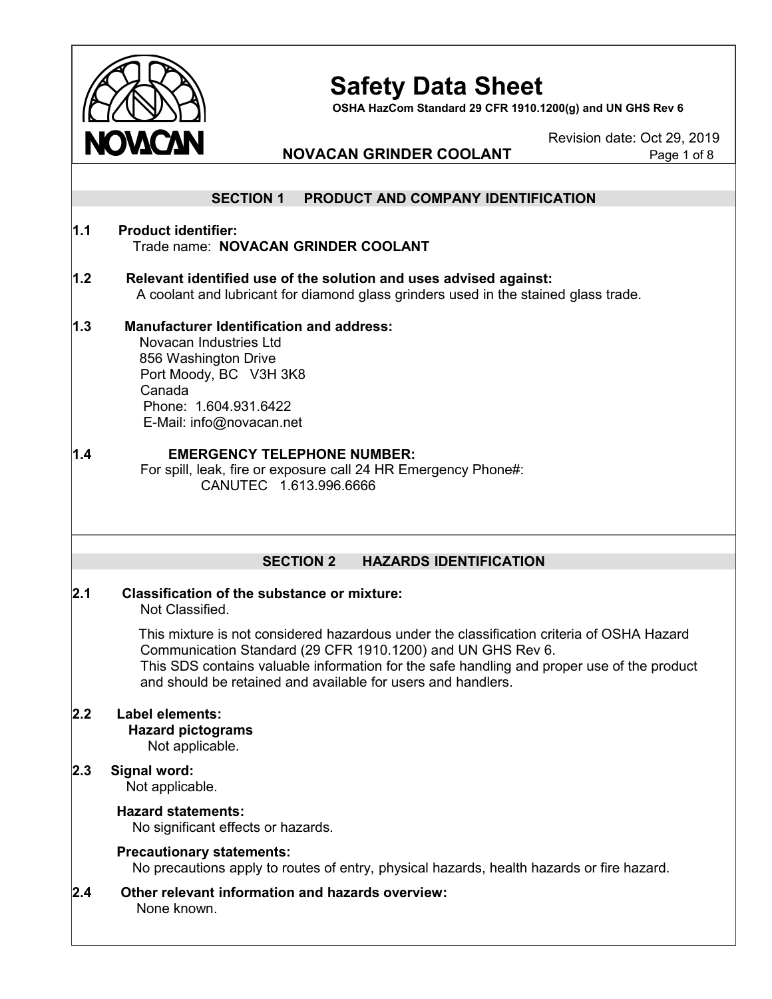

**OSHA HazCom Standard 29 CFR 1910.1200(g) and UN GHS Rev 6**

Revision date: Oct 29, 2019

### **NOVACAN GRINDER COOLANT**

|         | <b>SECTION 1</b><br>PRODUCT AND COMPANY IDENTIFICATION                                                                                                                                                                                                                                                                 |
|---------|------------------------------------------------------------------------------------------------------------------------------------------------------------------------------------------------------------------------------------------------------------------------------------------------------------------------|
| 1.1     | <b>Product identifier:</b><br>Trade name: NOVACAN GRINDER COOLANT                                                                                                                                                                                                                                                      |
| 1.2     | Relevant identified use of the solution and uses advised against:<br>A coolant and lubricant for diamond glass grinders used in the stained glass trade.                                                                                                                                                               |
| 1.3     | <b>Manufacturer Identification and address:</b><br>Novacan Industries Ltd<br>856 Washington Drive<br>Port Moody, BC V3H 3K8<br>Canada<br>Phone: 1.604.931.6422<br>E-Mail: info@novacan.net                                                                                                                             |
| 1.4     | <b>EMERGENCY TELEPHONE NUMBER:</b><br>For spill, leak, fire or exposure call 24 HR Emergency Phone#:<br>CANUTEC 1.613.996.6666                                                                                                                                                                                         |
|         |                                                                                                                                                                                                                                                                                                                        |
|         | <b>SECTION 2</b><br><b>HAZARDS IDENTIFICATION</b>                                                                                                                                                                                                                                                                      |
| 2.1     | <b>Classification of the substance or mixture:</b><br>Not Classified.                                                                                                                                                                                                                                                  |
|         | This mixture is not considered hazardous under the classification criteria of OSHA Hazard<br>Communication Standard (29 CFR 1910.1200) and UN GHS Rev 6.<br>This SDS contains valuable information for the safe handling and proper use of the product<br>and should be retained and available for users and handlers. |
| $2.2\,$ | <b>Label elements:</b><br><b>Hazard pictograms</b><br>Not applicable.                                                                                                                                                                                                                                                  |
| 2.3     | Signal word:<br>Not applicable.                                                                                                                                                                                                                                                                                        |
|         | <b>Hazard statements:</b><br>No significant effects or hazards.                                                                                                                                                                                                                                                        |
|         | <b>Precautionary statements:</b><br>No precautions apply to routes of entry, physical hazards, health hazards or fire hazard.                                                                                                                                                                                          |
| 2.4     | Other relevant information and hazards overview:<br>None known.                                                                                                                                                                                                                                                        |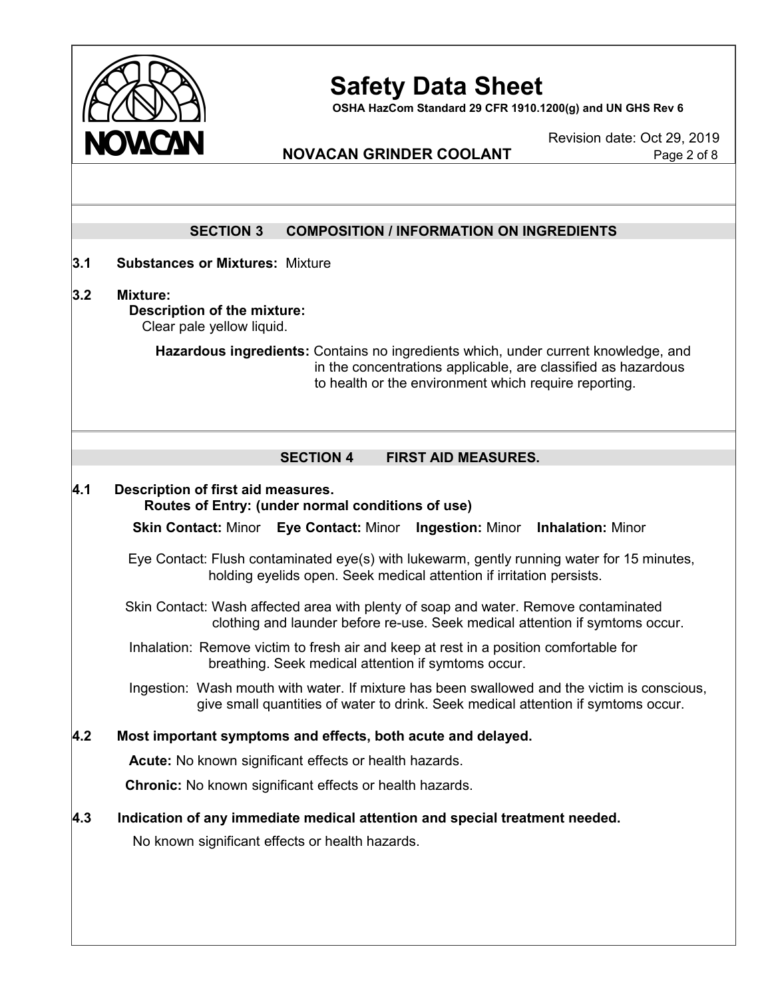

**OSHA HazCom Standard 29 CFR 1910.1200(g) and UN GHS Rev 6**

Revision date: Oct 29, 2019

## **NOVACAN GRINDER COOLANT**

|                    | <b>SECTION 3</b><br><b>COMPOSITION / INFORMATION ON INGREDIENTS</b>                                                                                                                                          |  |  |  |
|--------------------|--------------------------------------------------------------------------------------------------------------------------------------------------------------------------------------------------------------|--|--|--|
|                    |                                                                                                                                                                                                              |  |  |  |
| 3.1                | <b>Substances or Mixtures: Mixture</b>                                                                                                                                                                       |  |  |  |
| 3.2                | <b>Mixture:</b><br>Description of the mixture:<br>Clear pale yellow liquid.                                                                                                                                  |  |  |  |
|                    | Hazardous ingredients: Contains no ingredients which, under current knowledge, and<br>in the concentrations applicable, are classified as hazardous<br>to health or the environment which require reporting. |  |  |  |
|                    | <b>SECTION 4</b><br><b>FIRST AID MEASURES.</b>                                                                                                                                                               |  |  |  |
| $\boldsymbol{4.1}$ | Description of first aid measures.<br>Routes of Entry: (under normal conditions of use)                                                                                                                      |  |  |  |
|                    | <b>Skin Contact: Minor Eye Contact: Minor</b><br><b>Ingestion: Minor Inhalation: Minor</b>                                                                                                                   |  |  |  |
|                    | Eye Contact: Flush contaminated eye(s) with lukewarm, gently running water for 15 minutes,<br>holding eyelids open. Seek medical attention if irritation persists.                                           |  |  |  |
|                    | Skin Contact: Wash affected area with plenty of soap and water. Remove contaminated<br>clothing and launder before re-use. Seek medical attention if symtoms occur.                                          |  |  |  |
|                    | Inhalation: Remove victim to fresh air and keep at rest in a position comfortable for<br>breathing. Seek medical attention if symtoms occur.                                                                 |  |  |  |
|                    | Ingestion: Wash mouth with water. If mixture has been swallowed and the victim is conscious,<br>give small quantities of water to drink. Seek medical attention if symtoms occur.                            |  |  |  |
| 4.2                | Most important symptoms and effects, both acute and delayed.                                                                                                                                                 |  |  |  |
|                    | Acute: No known significant effects or health hazards.                                                                                                                                                       |  |  |  |
|                    |                                                                                                                                                                                                              |  |  |  |
|                    | <b>Chronic:</b> No known significant effects or health hazards.                                                                                                                                              |  |  |  |
| 4.3                | Indication of any immediate medical attention and special treatment needed.                                                                                                                                  |  |  |  |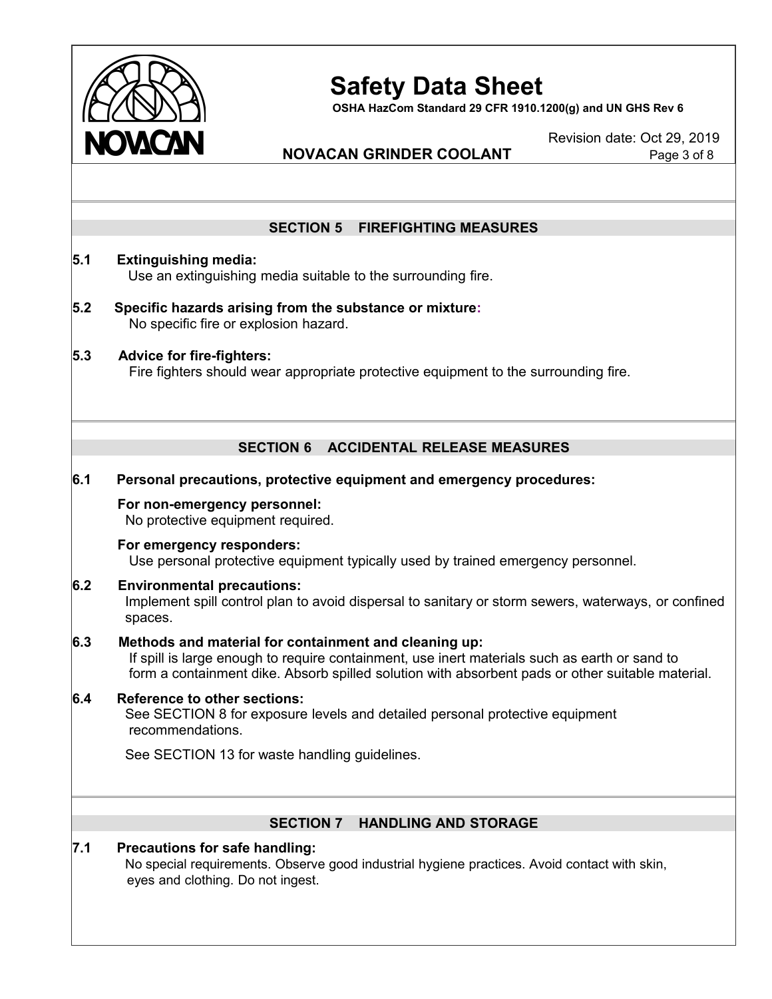

**OSHA HazCom Standard 29 CFR 1910.1200(g) and UN GHS Rev 6**

Revision date: Oct 29, 2019

## **NOVACAN GRINDER COOLANT** Page 3 of 8

#### **SECTION 5 FIREFIGHTING MEASURES**

## **5.1 Extinguishing media:** Use an extinguishing media suitable to the surrounding fire.

- **5.2 Specific hazards arising from the substance or mixture:** No specific fire or explosion hazard.
- **5.3 Advice for fire-fighters:** Fire fighters should wear appropriate protective equipment to the surrounding fire.

### **SECTION 6 ACCIDENTAL RELEASE MEASURES**

#### **6.1 Personal precautions, protective equipment and emergency procedures:**

#### **For non-emergency personnel:**

No protective equipment required.

### **For emergency responders:**

Use personal protective equipment typically used by trained emergency personnel.

#### **6.2 Environmental precautions:**

Implement spill control plan to avoid dispersal to sanitary or storm sewers, waterways, or confined spaces.

#### **6.3 Methods and material for containment and cleaning up:**

If spill is large enough to require containment, use inert materials such as earth or sand to form a containment dike. Absorb spilled solution with absorbent pads or other suitable material.

#### **6.4 Reference to other sections:** See SECTION 8 for exposure levels and detailed personal protective equipment recommendations.

See SECTION 13 for waste handling guidelines.

#### **SECTION 7 HANDLING AND STORAGE**

#### **7.1 Precautions for safe handling:** No special requirements. Observe good industrial hygiene practices. Avoid contact with skin, eyes and clothing. Do not ingest.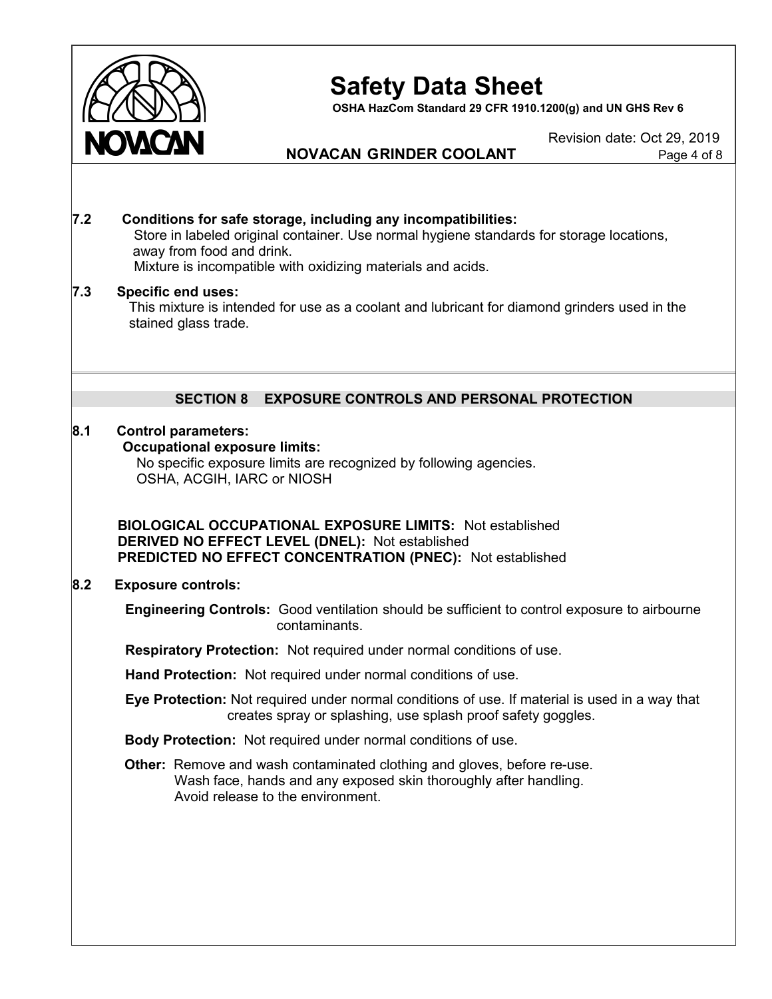

**OSHA HazCom Standard 29 CFR 1910.1200(g) and UN GHS Rev 6**

**NOVACAN GRINDER COOLANT** Page 4 of 8

Revision date: Oct 29, 2019

#### **7.2 Conditions for safe storage, including any incompatibilities:** Store in labeled original container. Use normal hygiene standards for storage locations, away from food and drink. Mixture is incompatible with oxidizing materials and acids.

#### **7.3 Specific end uses:**

This mixture is intended for use as a coolant and lubricant for diamond grinders used in the stained glass trade.

### **SECTION 8 EXPOSURE CONTROLS AND PERSONAL PROTECTION**

#### **8.1 Control parameters:**

#### **Occupational exposure limits:**

No specific exposure limits are recognized by following agencies. OSHA, ACGIH, IARC or NIOSH

**BIOLOGICAL OCCUPATIONAL EXPOSURE LIMITS:** Not established **DERIVED NO EFFECT LEVEL (DNEL):** Not established **PREDICTED NO EFFECT CONCENTRATION (PNEC):** Not established

#### **8.2 Exposure controls:**

**Engineering Controls:** Good ventilation should be sufficient to control exposure to airbourne contaminants.

**Respiratory Protection:** Not required under normal conditions of use.

**Hand Protection:** Not required under normal conditions of use.

**Eye Protection:** Not required under normal conditions of use. If material is used in a way that creates spray or splashing, use splash proof safety goggles.

**Body Protection:** Not required under normal conditions of use.

**Other:** Remove and wash contaminated clothing and gloves, before re-use. Wash face, hands and any exposed skin thoroughly after handling. Avoid release to the environment.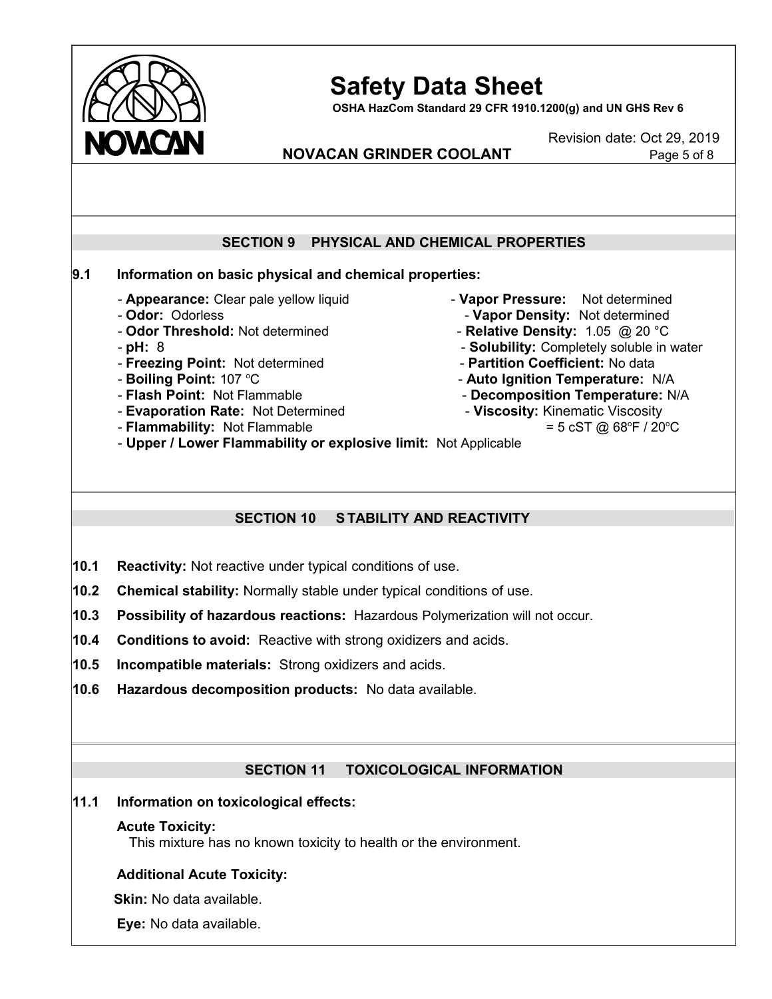

**OSHA HazCom Standard 29 CFR 1910.1200(g) and UN GHS Rev 6**

Revision date: Oct 29, 2019

## **NOVACAN GRINDER COOLANT** Page 5 of 8

### **SECTION 9 PHYSICAL AND CHEMICAL PROPERTIES**

### **9.1 Information on basic physical and chemical properties:**

- **Appearance:** Clear pale yellow liquid **Vapor Pressure:** Not determined
- 
- 
- 
- **Freezing Point:** Not determined **Partition Coefficient:** No data
- **Boiling Point:** 107 °C
- **Flash Point:** Not Flammable **Decomposition Temperature:** N/A
- **Evaporation Rate:** Not Determined  **Viscosity: Kinematic Viscosity**
- **Flammability:** Not Flammable
- 
- **Odor:** Odorless<br>
**Odor Threshold:** Not determined<br>
**Odor Threshold:** Not determined<br>
**Relative Density:** 1.05 @ 20 °C
	- **Relative Density:** 1.05 @ 20 °C
- pH: 8 pH: 8
	-
	- C **Auto Ignition Temperature:** N/A
	-
	- - $F / 20$ <sup>o</sup>C

- **Upper / Lower Flammability or explosive limit:** Not Applicable

#### **SECTION 10 S TABILITY AND REACTIVITY**

- **10.1 Reactivity:** Not reactive under typical conditions of use.
- **10.2 Chemical stability:** Normally stable under typical conditions of use.
- **10.3 Possibility of hazardous reactions:** Hazardous Polymerization will not occur.
- **10.4 Conditions to avoid:** Reactive with strong oxidizers and acids.
- **10.5 Incompatible materials:** Strong oxidizers and acids.
- **10.6 Hazardous decomposition products:** No data available.

### **SECTION 11 TOXICOLOGICAL INFORMATION**

#### **11.1 Information on toxicological effects:**

#### **Acute Toxicity:**

This mixture has no known toxicity to health or the environment.

#### **Additional Acute Toxicity:**

**Skin:** No data available.

**Eye:** No data available.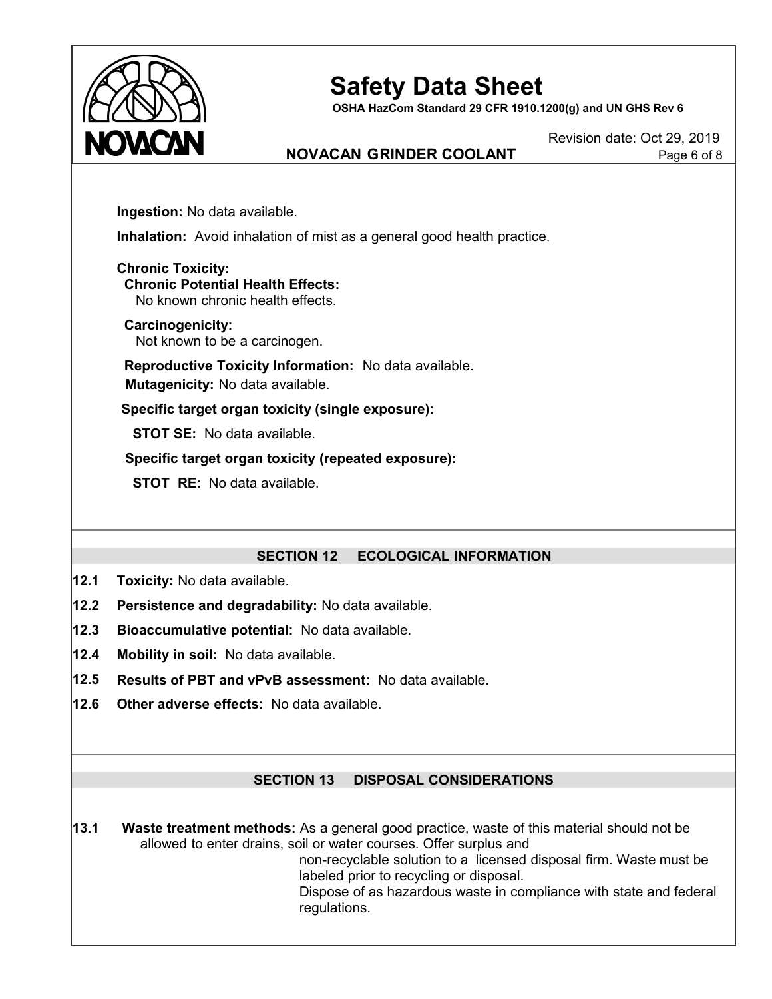

**OSHA HazCom Standard 29 CFR 1910.1200(g) and UN GHS Rev 6**

## **NOVACAN GRINDER COOLANT** Page 6 of 8

Revision date: Oct 29, 2019

**Ingestion:** No data available.

**Inhalation:** Avoid inhalation of mist as a general good health practice.

**Chronic Toxicity: Chronic Potential Health Effects:** No known chronic health effects.

**Carcinogenicity:** Not known to be a carcinogen.

**Reproductive Toxicity Information:** No data available. **Mutagenicity:** No data available.

**Specific target organ toxicity (single exposure):**

**STOT SE:** No data available.

**Specific target organ toxicity (repeated exposure):**

**STOT RE:** No data available.

#### **SECTION 12 ECOLOGICAL INFORMATION**

- **12.1 Toxicity:** No data available.
- **12.2 Persistence and degradability:** No data available.
- **12.3 Bioaccumulative potential:** No data available.
- **12.4 Mobility in soil:** No data available.
- **12.5 Results of PBT and vPvB assessment:** No data available.
- **12.6 Other adverse effects:** No data available.

#### **SECTION 13 DISPOSAL CONSIDERATIONS**

**13.1 Waste treatment methods:** As a general good practice, waste of this material should not be allowed to enter drains, soil or water courses. Offer surplus and

non-recyclable solution to a licensed disposal firm. Waste must be labeled prior to recycling or disposal.

Dispose of as hazardous waste in compliance with state and federal regulations.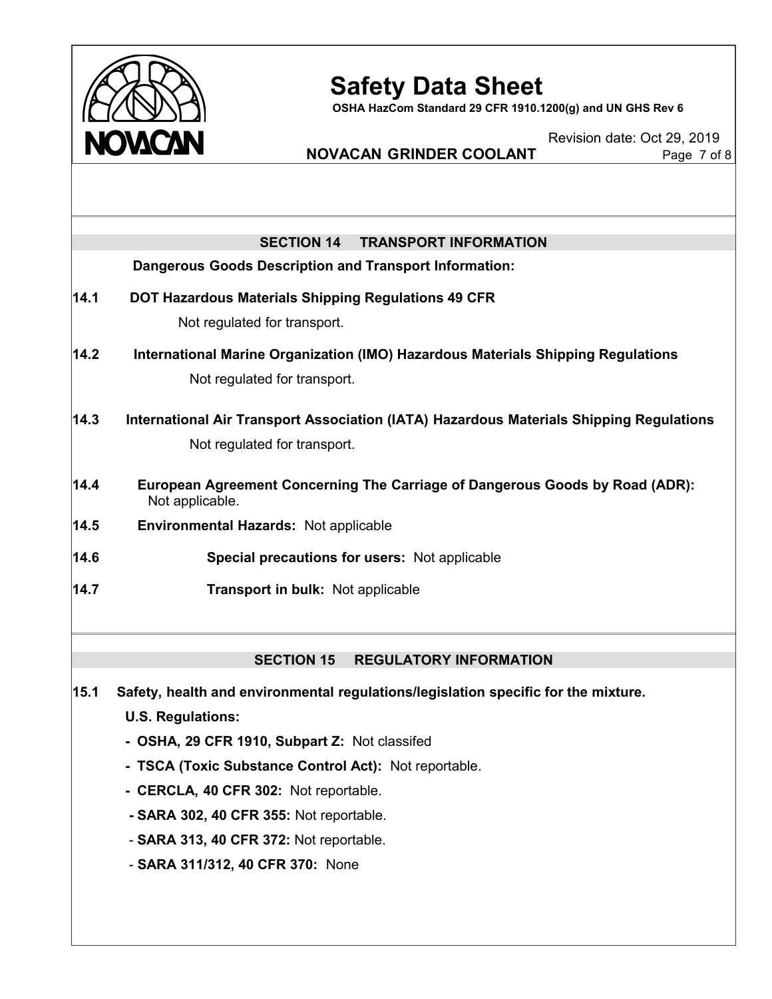

**OSHA HazCom Standard 29 CFR 1910.1200(g) and UN GHS Rev 6**

Revision date: Oct 29, 2019

## **NOVACAN GRINDER COOLANT** Page 7 of 8

|      | <b>SECTION 14</b><br><b>TRANSPORT INFORMATION</b>                                                              |  |  |  |  |
|------|----------------------------------------------------------------------------------------------------------------|--|--|--|--|
|      | <b>Dangerous Goods Description and Transport Information:</b>                                                  |  |  |  |  |
| 14.1 | DOT Hazardous Materials Shipping Regulations 49 CFR                                                            |  |  |  |  |
|      | Not regulated for transport.                                                                                   |  |  |  |  |
| 14.2 | International Marine Organization (IMO) Hazardous Materials Shipping Regulations                               |  |  |  |  |
|      | Not regulated for transport.                                                                                   |  |  |  |  |
| 14.3 | International Air Transport Association (IATA) Hazardous Materials Shipping Regulations                        |  |  |  |  |
|      | Not regulated for transport.                                                                                   |  |  |  |  |
| 14.4 | European Agreement Concerning The Carriage of Dangerous Goods by Road (ADR):<br>Not applicable.                |  |  |  |  |
| 14.5 | <b>Environmental Hazards: Not applicable</b>                                                                   |  |  |  |  |
| 14.6 | Special precautions for users: Not applicable                                                                  |  |  |  |  |
| 14.7 | Transport in bulk: Not applicable                                                                              |  |  |  |  |
|      |                                                                                                                |  |  |  |  |
|      | <b>SECTION 15</b><br><b>REGULATORY INFORMATION</b>                                                             |  |  |  |  |
| 15.1 | Safety, health and environmental regulations/legislation specific for the mixture.<br><b>U.S. Regulations:</b> |  |  |  |  |

- **- OSHA, 29 CFR 1910, Subpart Z:** Not classifed
- **- TSCA (Toxic Substance Control Act):** Not reportable.
- **- CERCLA, 40 CFR 302:** Not reportable.
- **- SARA 302, 40 CFR 355:** Not reportable.
- **SARA 313, 40 CFR 372:** Not reportable.
- **SARA 311/312, 40 CFR 370:** None